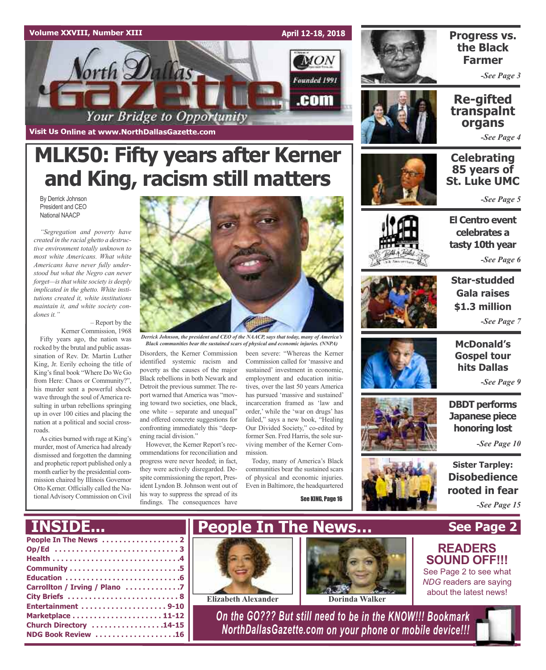#### **Volume XXVIII, Number XIII**

**Visit Us Online at www.NorthDallasGazette.com**



### **Progress vs. the Black Farmer**

*-See Page 3*

### **Re-gifted transpalnt organs**

*-See Page 4*

### **Celebrating 85 years of St. Luke UMC**

*-See Page 5*

**El Centro event**

**celebrates a tasty 10th year**

*-See Page 6*



**Star-studded Gala raises \$1.3 million** *-See Page 7*



**McDonald's Gospel tour hits Dallas**

*-See Page 9*

**DBDT performs Japanese piece honoring lost**

*-See Page 10*

**Sister Tarpley: Disobedience rooted in fear** *-See Page 15*

**READERS SOUND OFF!!!** See Page 2 to see what *NDG* readers are saying about the latest news!

**MLK50: Fifty years after Kerner and King, racism still matters**

By Derrick Johnson President and CEO National NAACP

*"Segregation and poverty have created in the racial ghetto a destructive environment totally unknown to most white Americans. What white Americans have never fully understood but what the Negro can never forget—isthat white society is deeply implicated in the ghetto. White institutions created it, white institutions maintain it, and white society condones it."*

> – Report by the Kerner Commission, 1968

Fifty years ago, the nation was rocked by the brutal and public assassination of Rev. Dr. Martin Luther King, Jr. Eerily echoing the title of King's final book "Where Do We Go from Here: Chaos or Community?", his murder sent a powerful shock wave through the soul of America resulting in urban rebellions springing up in over 100 cities and placing the nation at a political and social crossroads.

As cities burned with rage at King's murder, most of America had already dismissed and forgotten the damning and prophetic report published only a month earlier by the presidential commission chaired by Illinois Governor Otto Kerner. Officially called the NationalAdvisory Commission on Civil



*Derrick Johnson, the president and CEO of the NAACP, says that today, many of America's Black communities bear the sustained scars of physical and economic injuries. (NNPA)*

Disorders, the Kerner Commission identified systemic racism and poverty as the causes of the major Black rebellions in both Newark and Detroit the previous summer. The report warned that America was "moving toward two societies, one black, one white – separate and unequal" and offered concrete suggestions for confronting immediately this "deepening racial division."

However, the Kerner Report's recommendations for reconciliation and progress were never heeded; in fact, they were actively disregarded. Despite commissioning the report, President Lyndon B. Johnson went out of his way to suppress the spread of its findings. The consequences have

been severe: "Whereas the Kerner Commission called for 'massive and sustained' investment in economic, employment and education initiatives, over the last 50 years America has pursued 'massive and sustained' incarceration framed as 'law and order,' while the 'war on drugs' has failed," says a new book, "Healing Our Divided Society," co-edited by former Sen. Fred Harris, the sole surviving member of the Kerner Commission.

Today, many of America's Black communities bear the sustained scars of physical and economic injuries. Even in Baltimore, the headquartered

See KING, Page 16



**See Page 2**

## **INSIDE...**

| Op/Ed 3                       |
|-------------------------------|
|                               |
|                               |
|                               |
| Carrollton / Irving / Plano 7 |
|                               |
| Entertainment 9-10            |
|                               |
| Church Directory 14-15        |
| NDG Book Review 16            |





**Elizabeth Alexander Dorinda** Walker

*On the GO??? But still need to be in the KNOW!!! Bookmark NorthDallasGazette.com on your phone or mobile device!!!*

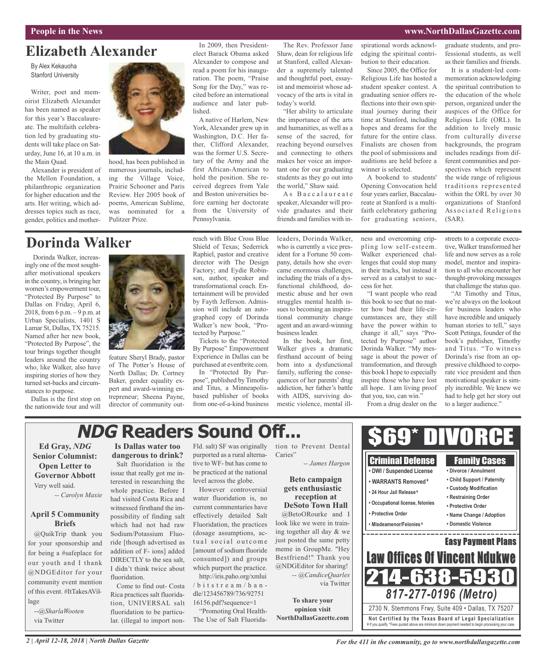#### **People in the News www.NorthDallasGazette.com**

### **Elizabeth Alexander**

By Alex Kekauoha Stanford University

Writer, poet and memoirist Elizabeth Alexander has been named as speaker for this year's Baccalaureate. The multifaith celebration led by graduating students will take place on Saturday, June 16, at 10 a.m. in the Main Quad.

Alexander is president of the Mellon Foundation, a philanthropic organization for higher education and the arts. Her writing, which addresses topics such as race, gender, politics and mother-



hood, has been published in numerous journals, including the Village Voice, Prairie Schooner and Paris Review. Her 2005 book of poems, American Sublime, was nominated for a Pulitzer Prize.

### **Dorinda Walker**

Dorinda Walker, increasingly one of the most soughtafter motivational speakers in the country, is bringing her women's empowerment tour, "Protected By Purpose" to Dallas on Friday, April 6, 2018, from 6 p.m. – 9 p.m. at Urban Specialists, 1401 S Lamar St, Dallas, TX 75215. Named after her new book, "Protected By Purpose", the tour brings together thought leaders around the country who, like Walker, also have inspiring stories of how they turned set-backs and circumstances to purpose.

Dallas is the first stop on the nationwide tour and will



feature Sheryl Brady, pastor of The Potter's House of North Dallas; Dr. Cortney Baker, gender equality expert and award-winning entrepreneur; Sheena Payne, director of community outreach with Blue Cross Blue Shield of Texas; Sederrick Raphiel, pastor and creative director with The Design Factory; and Eydie Robinson, author, speaker and transformational coach. Entertainment will be provided by Fayth Jefferson. Admission will include an autographed copy of Dorinda Walker's new book, "Protected by Purpose."

In 2009, then Presidentelect Barack Obama asked Alexander to compose and read a poem for his inauguration. The poem, "Praise Song for the Day," was recited before an international audience and later pub-

A native of Harlem, New York, Alexander grew up in Washington, D.C. Her father, Clifford Alexander, was the former U.S. Secretary of the Army and the first African-American to hold the position. She received degrees from Yale and Boston universities before earning her doctorate from the University of

lished.

Pennsylvania.

By Purpose" Empowerment Experience in Dallas can be purchased at eventbrite.com.

pose", published by Timothy and Titus, a Minneapolisbased publisher of books from one-of-a-kind business

The Rev. Professor Jane Shaw, dean for religious life at Stanford, called Alexander a supremely talented and thoughtful poet, essayist and memoirist whose advocacy of the arts is vital in today's world.

"Her ability to articulate the importance of the arts and humanities, as well as a sense of the sacred, for reaching beyond ourselves and connecting to others makes her voice an important one for our graduating students as they go out into the world," Shaw said.

As Baccalaureate speaker, Alexander will provide graduates and their friends and families with inspirational words acknowledging the spiritual contribution to their education.

Since 2005, the Office for Religious Life has hosted a student speaker contest. A graduating senior offers reflections into their own spiritual journey during their time at Stanford, including hopes and dreams for the future for the entire class. Finalists are chosen from the pool of submissions and auditions are held before a winner is selected.

A bookend to students' Opening Convocation held four years earlier, Baccalaureate at Stanford is a multifaith celebratory gathering for graduating seniors,

graduate students, and professional students, as well as their families and friends.

It is a student-led commemoration acknowledging the spiritual contribution to the education of the whole person, organized under the auspices of the Office for Religious Life (ORL). In addition to lively music from culturally diverse backgrounds, the program includes readings from different communities and perspectives which represent the wide range of religious traditions represented within the ORL by over 30 organizations of Stanford Associated Religions (SAR).

leaders, Dorinda Walker, who is currently a vice president for a Fortune 50 company, details how she overcame enormous challenges, including the trials of a dysfunctional childhood, domestic abuse and her own struggles mental health issues to becoming an inspira-

ness and overcoming crippling low self-esteem. Walker experienced challenges that could stop many in their tracks, but instead it served as a catalyst to success for her.

"I want people who read this book to see that no matter how bad their life-circumstances are, they still have the power within to change it all," says "Protected by Purpose" author Dorinda Walker. "My message is about the power of transformation, and through this book I hope to especially inspire those who have lost all hope. I am living proof that you, too, can win."

From a drug dealer on the

streets to a corporate executive, Walker transformed her life and now serves as a role model, mentor and inspiration to all who encounter her thought-provoking messages that challenge the status quo.

"At Timothy and Titus, we're always on the lookout for business leaders who have incredible and uniquely human stories to tell," says Scott Petinga, founder of the book's publisher, Timothy and Titus. "To witness Dorinda's rise from an oppressive childhood to corporate vice president and then motivational speaker is simply incredible. We knew we had to help get her story out to a larger audience."

# **NDG Readers Sound Off...**

#### **Ed Gray,** *NDG* **Senior Columnist: Open Letter to Governor Abbott** Very well said.

*-- Carolyn Maxie*

#### **April 5 Community Briefs**

@QuikTrip thank you for your sponsorship and for being a #safeplace for our youth and I thank @NDGEditor for your community event mention of this event. #ItTakesAVillage

--*@SharlaWooten* via Twitter

### **Is Dallas water too dangerous to drink?**

Salt fluoridation is the issue that really got me interested in researching the whole practice. Before I had visited Costa Rica and witnessed firsthand the impossibility of finding salt which had not had raw Sodium/Potassium Fluoride [though advertised as addition of F- ions] added DIRECTLY to the sea salt, I didn't think twice about fluoridation.

Come to find out- Costa Rica practices salt fluoridation, UNIVERSAL salt fluoridation to be particular. (illegal to import non-

Fld. salt) SF was originally tion to Prevent Dental purported as a rural alternative to WF- but has come to be practiced at the national level across the globe.

However controversial water fluoridation is, no current commentaries have effectively detailed Salt Fluoridation, the practices (dosage assumptions, actual social outcome [amount of sodium fluoride consumed]) and groups which purport the practice.

http://iris.paho.org/xmlui  $/b$  itstream  $/h$  andle/123456789/736/92751 16156.pdf?sequence=1

"Promoting Oral Health-The Use of Salt Fluorida-

#### Caries" *-- James Hargon*

quences of her parents' drug addiction, her father's battle with AIDS, surviving domestic violence, mental ill-

**Beto** cam **gets** enthus **reception DeSoto To** 

@BetoORour look like we we ing together all just posted the s meme in Group. Bestfriend!" T @NDGEditor fo -- @Candi

**To** share **opinion visit NorthDallasGazette.com**

| nt Dental<br>es Hargon<br>ipaign<br>siastic<br>on at                                       | DIVORCE<br>$\mathsf{H}$<br><b>Criminal Defense</b><br><b>Family Cases</b><br>• DWI / Suspended License<br>• Divorce / Annulment<br>• Child Support / Paternity<br>• WARRANTS Removed <sup>¥</sup><br>• Custody Modification<br>• 24 Hour Jail Release*<br>• Restraining Order |
|--------------------------------------------------------------------------------------------|-------------------------------------------------------------------------------------------------------------------------------------------------------------------------------------------------------------------------------------------------------------------------------|
| wn Hall<br>ke and I<br>re in train-                                                        | • Occupational license, felonies<br>• Protective Order<br>• Protective Order<br>• Name Change / Adoption<br>• Domestic Violence<br>• Misdeamenor/Felonies*                                                                                                                    |
| day & we<br>same petty<br>Me. "Hey<br>hank you<br>or sharing!<br>iceQuarles<br>via Twitter | <b>Easy Payment Plans</b><br><b>Law Offices Of Vincent Ndukwe</b><br>8-59<br>563                                                                                                                                                                                              |
| your                                                                                       | 817-277-0196 (Metro)<br>$\sim$ $\sim$ $\sim$ $\sim$ $\sim$ $\sim$ $\sim$ $\sim$<br>0.7001101                                                                                                                                                                                  |

**Not Ce rtified by the Te x a s Boa rd of Lega l Spe c ia l i za tion** ¥ If you qualify. \*Fees quoted above are minimum down payment needed to begin processing your case. 2730 N. Stemmons Frwy, Suite 409 • Dallas, TX 75207

Tickets to the "Protected In the book, her first, Walker gives a dramatic firsthand account of being born into a dysfunctional family, suffering the conse-

In "Protected By Pur-

tional community change agent and an award-winning business leader.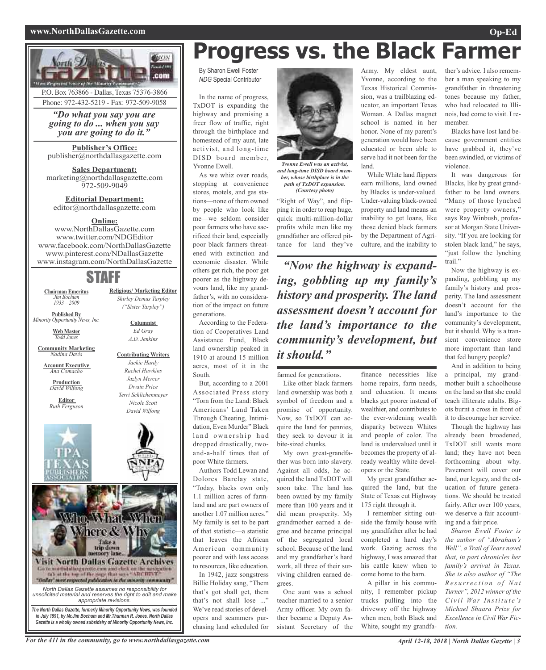#### **www.NorthDallasGazette.com Op-Ed**



Phone: 972-432-5219 - Fax: 972-509-9058

*"Do what you say you are going to do ... when you say you are going to do it."*

**Publisher's Office:** publisher@northdallasgazette.com

**Sales Department:** marketing@northdallasgazette.com 972-509-9049

**Editorial Department:** editor@northdallasgazette.com

#### **Online:**

www.NorthDallasGazette.com www.twitter.com/NDGEditor www.facebook.com/NorthDallasGazette www.pinterest.com/NDallasGazette www.instagram.com/NorthDallasGazette

### STAFF

**Religious/ Marketing Editor** *Shirley Demus Tarpley ("Sister Tarpley")*

> **Columnist** *Ed Gray A.D. Jenkins*

**Contributing Writers** *Jackie Hardy Rachel Hawkins Jazlyn Mercer Dwain Price Terri Schlichenmeyer Nicole Scott David Wilfong*

**Chairman Emeritus** *Jim Bochum 1933 – 2009*

**Published By** *Minority Opportunity News, Inc.*

> **Web Master** *Todd Jones*

**Community Marketing** *Nadina Davis*

**Account Executive** *Ana Comacho*

**Production** *David Wilfong*

**Editor** *Ruth Ferguson*





# **Progress vs. the Black Farmer**

By Sharon Ewell Foster *NDG* Special Contributor

In the name of progress, TxDOT is expanding the highway and promising a freer flow of traffic, right through the birthplace and homestead of my aunt, late activist, and long-time DISD board member, Yvonne Ewell.

As we whiz over roads, stopping at convenience stores, motels, and gas stations—none of them owned by people who look like me—we seldom consider poor farmers who have sacrificed their land, especially poor black farmers threatened with extinction and economic disaster. While others get rich, the poor get poorer as the highway devours land, like my grandfather's, with no consideration of the impact on future generations.

According to the Federation of Cooperatives Land Assistance Fund, Black land ownership peaked in 1910 at around 15 million acres, most of it in the South.

But, according to a 2001 Associated Press story "Torn from the Land: Black Americans' Land Taken Through Cheating, Intimidation, Even Murder" Black land ownership had dropped drastically, twoand-a-half times that of poor White farmers.

Authors Todd Lewan and Dolores Barclay state, "Today, blacks own only 1.1 million acres of farmland and are part owners of another 1.07 million acres." My family is set to be part of that statistic—a statistic that leaves the African American community poorer and with less access to resources, like education.

In 1942, jazz songstress Billie Holiday sang, "Them that's got shall get, them that's not shall lose ..." We've read stories of developers and scammers purchasing land scheduled for



*Yvonne Ewell was an activist, and long-time DISD board member, whose birthplace is in the path of TxDOT expansion. (Courtesy photo)*

"Right of Way", and flipping it in order to reap huge, quick multi-million-dollar profits while men like my grandfather are offered pittance for land they've

*"Now the highway is expanding, gobbling up my family's history and prosperity. The land assessment doesn't account for the land's importance to the community's development, but it should."*

farmed for generations. Like other black farmers land ownership was both a symbol of freedom and a promise of opportunity. Now, so TxDOT can acquire the land for pennies, they seek to devour it in bite-sized chunks.

My own great-grandfather was born into slavery. Against all odds, he acquired the land TxDOT will soon take. The land has been owned by my family more than 100 years and it did mean prosperity. My grandmother earned a degree and became principal of the segregated local school. Because of the land and my grandfather's hard work, all three of their surviving children earned degrees.

One aunt was a school teacher married to a senior Army officer. My own father became a Deputy Assistant Secretary of the

Army. My eldest aunt, Yvonne, according to the Texas Historical Commission, was a trailblazing educator, an important Texas Woman. A Dallas magnet school is named in her honor. None of my parent's generation would have been educated or been able to serve had it not been for the land.

While White land flippers earn millions, land owned by Blacks is under-valued. Under-valuing black-owned property and land means an inability to get loans, like those denied black farmers by the Department of Agriculture, and the inability to

finance necessities like home repairs, farm needs, and education. It means blacks get poorer instead of wealthier, and contributes to the ever-widening wealth disparity between Whites and people of color. The land is undervalued until it becomes the property of already wealthy white devel-

> opers or the State. My great grandfather acquired the land, but the State of Texas cut Highway 175 right through it.

I remember sitting outside the family house with my grandfather after he had completed a hard day's work. Gazing across the highway, I was amazed that his cattle knew when to come home to the barn.

A pillar in his community, I remember pickup trucks pulling into the driveway off the highway when men, both Black and White, sought my grandfa-

ther's advice. I also remember a man speaking to my grandfather in threatening tones because my father, who had relocated to Illinois, had come to visit. I remember.

Blacks have lost land because government entities have grabbed it, they've been swindled, or victims of violence.

It was dangerous for Blacks, like by great grandfather to be land owners. "Many of those lynched were property owners," says Ray Winbush, professor at Morgan State University. "If you are looking for stolen black land," he says, "just follow the lynching trail."

Now the highway is expanding, gobbling up my family's history and prosperity. The land assessment doesn't account for the land's importance to the community's development, but it should. Why is a transient convenience store more important than land that fed hungry people?

And in addition to being a principal, my grandmother built a schoolhouse on the land so that she could teach illiterate adults. Bigots burnt a cross in front of it to discourage her service.

Though the highway has already been broadened, TxDOT still wants more land; they have not been forthcoming about why. Pavement will cover our land, our legacy, and the education of future generations. We should be treated fairly. After over 100 years, we deserve a fair accounting and a fair price.

*Sharon Ewell Foster is the author of "Abraham's Well", a Trail of Tears novel that, in part chronicles her family's arrival in Texas. She is also author of "The R e s u rr e c t i o n o f Na t Turner", 2012 winner of the Ci v i l Wa r I n st i t u t e 's Michael Shaara Prize for Excellence in Civil War Fiction.*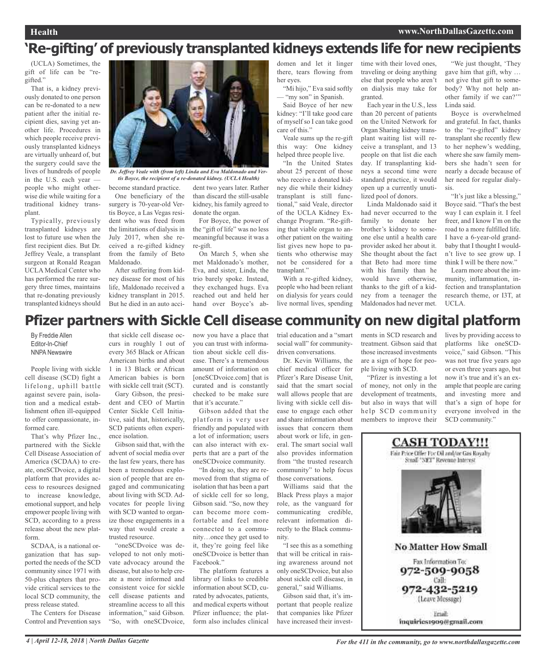## **'Re-gifting' of previously transplanted kidneys extends life for new recipients**

(UCLA) Sometimes, the gift of life can be "regifted."

That is, a kidney previously donated to one person can be re-donated to a new patient after the initial recipient dies, saving yet another life. Procedures in which people receive previously transplanted kidneys are virtually unheard of, but the surgery could save the lives of hundreds of people in the U.S. each year people who might otherwise die while waiting for a traditional kidney transplant.

Typically, previously transplanted kidneys are lost to future use when the first recipient dies. But Dr. Jeffrey Veale, a transplant surgeon at Ronald Reagan UCLA Medical Center who has performed the rare surgery three times, maintains that re-donating previously transplanted kidneys should



become standard practice. *Dr. Jeffrey Veale with (from left) Linda and Eva Maldonado and Vertis Boyce, the recipient of a re-donated kidney. (UCLA Health)*

One beneficiary of the surgery is 70-year-old Vertis Boyce, a Las Vegas resident who was freed from the limitations of dialysis in July 2017, when she received a re-gifted kidney from the family of Beto Maldonado.

After suffering from kidney disease for most of his life, Maldonado received a kidney transplant in 2015. But he died in an auto acci-

dent two years later. Rather than discard the still-usable kidney, his family agreed to donate the organ.

For Boyce, the power of the "gift of life" was no less meaningful because it was a re-gift.

On March 5, when she met Maldonado's mother, Eva, and sister, Linda, the trio barely spoke. Instead, they exchanged hugs. Eva reached out and held her hand over Boyce's abdomen and let it linger there, tears flowing from her eyes.

"Mi hijo," Eva said softly — "my son" in Spanish.

Said Boyce of her new kidney: "I'll take good care of myself so I can take good care of this."

Veale sums up the re-gift this way: One kidney helped three people live.

"In the United States about 25 percent of those who receive a donated kidney die while their kidney transplant is still functional," said Veale, director of the UCLA Kidney Exchange Program. "Re-gifting that viable organ to another patient on the waiting list gives new hope to patients who otherwise may not be considered for a transplant."

With a re-gifted kidney, people who had been reliant on dialysis for years could live normal lives, spending

time with their loved ones, traveling or doing anything else that people who aren't on dialysis may take for granted.

> Each year in the U.S., less than 20 percent of patients on the United Network for Organ Sharing kidney transplant waiting list will receive a transplant, and 13 people on that list die each day. If transplanting kidneys a second time were standard practice, it would open up a currently unutilized pool of donors.

Linda Maldonado said it had never occurred to the family to donate her brother's kidney to someone else until a health care provider asked her about it. She thought about the fact that Beto had more time with his family than he would have otherwise, thanks to the gift of a kidney from a teenager the Maldonados had never met.

"We just thought, 'They gave him that gift, why … not give that gift to somebody? Why not help another family if we can?'" Linda said.

Boyce is overwhelmed and grateful. In fact, thanks to the "re-gifted" kidney transplant she recently flew to her nephew's wedding, where she saw family members she hadn't seen for nearly a decade because of her need for regular dialysis.

"It's just like a blessing," Boyce said. "That's the best way I can explain it. I feel freer, and I know I'm on the road to a more fulfilled life. I have a 6-year-old grandbaby that I thought I wouldn't live to see grow up. I think I will be there now."

Learn more about the immunity, inflammation, infection and transplantation research theme, or I3T, at UCLA.

### **Pfizer partners with Sickle Cell disease community on new digital platform**

By Freddie Allen Editor-In-Chief NNPA Newswire

People living with sickle cell disease (SCD) fight a lifelong, uphill battle against severe pain, isolation and a medical establishment often ill-equipped to offer compassionate, informed care.

That's why Pfizer Inc., partnered with the Sickle Cell Disease Association of America (SCDAA) to create, oneSCDvoice, a digital platform that provides access to resources designed to increase knowledge, emotional support, and help empower people living with SCD, according to a press release about the new platform.

SCDAA, is a national organization that has supported the needs of the SCD community since 1971 with 50-plus chapters that provide critical services to the local SCD community, the press release stated.

The Centers for Disease Control and Prevention says

that sickle cell disease occurs in roughly 1 out of every 365 Black or African American births and about 1 in 13 Black or African American babies is born with sickle cell trait (SCT). Gary Gibson, the presi-

dent and CEO of Martin Center Sickle Cell Initiative, said that, historically, SCD patients often experience isolation.

Gibson said that, with the advent of social media over the last few years, there has been a tremendous explosion of people that are engaged and communicating about living with SCD. Advocates for people living with SCD wanted to organize those engagements in a way that would create a trusted resource.

"oneSCDvoice was developed to not only motivate advocacy around the disease, but also to help create a more informed and consistent voice for sickle cell disease patients and streamline access to all this information," said Gibson. "So, with oneSCDvoice,

now you have a place that you can trust with information about sickle cell disease. There's a tremendous amount of information on [oneSCDvoice.com] that is curated and is constantly checked to be make sure that it's accurate."

Gibson added that the platform is very user friendly and populated with a lot of information; users can also interact with experts that are a part of the oneSCDvoice community.

"In doing so, they are removed from that stigma of isolation that has been a part of sickle cell for so long, Gibson said. "So, now they can become more comfortable and feel more connected to a community…once they get used to it, they're going feel like oneSCDvoice is better than Facebook"

The platform features a library of links to credible information about SCD, curated by advocates, patients, and medical experts without Pfizer influence; the platform also includes clinical

trial education and a "smart social wall" for communitydriven conversations.

Dr. Kevin Williams, the chief medical officer for Pfizer's Rare Disease Unit, said that the smart social wall allows people that are living with sickle cell disease to engage each other and share information about issues that concern them about work or life, in general. The smart social wall also provides information from "the trusted research community" to help focus those conversations.

Williams said that the Black Press plays a major role, as the vanguard for communicating credible, relevant information directly to the Black community.

"I see this as a something that will be critical in raising awareness around not only oneSCDvoice, but also about sickle cell disease, in general," said Williams.

Gibson said that, it's important that people realize that companies like Pfizer have increased their investments in SCD research and treatment. Gibson said that those increased investments are a sign of hope for people living with SCD.

"Pfizer is investing a lot of money, not only in the development of treatments, but also in ways that will help SCD community members to improve their

lives by providing access to platforms like oneSCDvoice," said Gibson. "This was not true five years ago or even three years ago, but now it's true and it's an example that people are caring and investing more and that's a sign of hope for everyone involved in the SCD community."

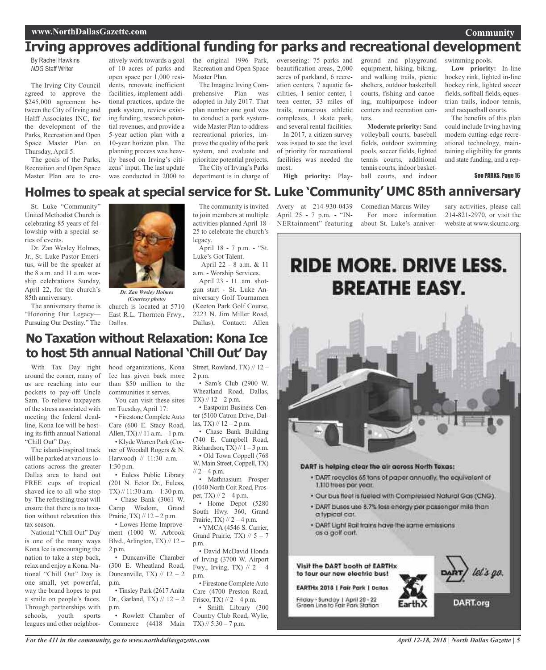#### **www.NorthDallasGazette.com**

## **Irving approves additional funding for parks and recreational development**

By Rachel Hawkins *NDG* Staff Writer

The Irving City Council agreed to approve the \$245,000 agreement between the City of Irving and Halff Associates INC, for the development of the Parks, Recreation and Open Space Master Plan on Thursday, April 5.

The goals of the Parks, Recreation and Open Space Master Plan are to cre-

atively work towards a goal of 10 acres of parks and open space per 1,000 residents, renovate inefficient facilities, implement additional practices, update the park system, review existing funding, research potential revenues, and provide a 5-year action plan with a 10-year horizon plan. The planning process was heavily based on Irving's citizens' input. The last update was conducted in 2000 to

the original 1996 Park, Recreation and Open Space Master Plan.

The Imagine Irving Comprehensive Plan was adopted in July 2017. That plan number one goal was to conduct a park systemwide Master Plan to address recreational priories, improve the quality of the park system, and evaluate and prioritize potential projects. The City of Irving's Parks

department is in charge of

overseeing: 75 parks and beautification areas, 2,000 acres of parkland, 6 recreation centers, 7 aquatic facilities, 1 senior center, 1 teen center, 33 miles of trails, numerous athletic complexes, 1 skate park, and several rental facilities.

In 2017, a citizen survey was issued to see the level of priority for recreational facilities was needed the most.

**High priority:** Play-

ground and playground equipment, hiking, biking, and walking trails, picnic shelters, outdoor basketball courts, fishing and canoeing, multipurpose indoor centers and recreation centers.

**Moderate priority:** Sand volleyball courts, baseball fields, outdoor swimming pools, soccer fields, lighted tennis courts, additional tennis courts, indoor basketball courts, and indoor

swimming pools.

**Low priority:** In-line hockey rink, lighted in-line hockey rink, lighted soccer fields, softball fields, equestrian trails, indoor tennis, and racquetball courts.

**Community**

The benefits of this plan could include Irving having modern cutting-edge recreational technology, maintaining eligibility for grants and state funding, and a rep-

#### See PARKS, Page 16

## **Holmes to speak at special service for St. Luke 'Community' UMC 85th anniversary**

St. Luke "Community" United Methodist Church is celebrating 85 years of fellowship with a special series of events.

Dr. Zan Wesley Holmes, Jr., St. Luke Pastor Emeritus, will be the speaker at the 8 a.m. and 11 a.m. worship celebrations Sunday, April 22, for the church's 85th anniversary.

The anniversary theme is "Honoring Our Legacy— Pursuing Our Destiny." The Dallas.



church is located at 5710 East R.L. Thornton Frwy., *Dr. Zan Wesley Holmes (Courtesy photo)*

The community is invited to join members at multiple activities planned April 18- 25 to celebrate the church's legacy.

April 18 - 7 p.m. - "St. Luke's Got Talent.

April 22 - 8 a.m. & 11 a.m. - Worship Services.

April 23 - 11 .am. shotgun start - St. Luke Anniversary Golf Tournamen (Keeton Park Golf Course, 2223 N. Jim Miller Road, Dallas), Contact: Allen

Avery at 214-930-0439 April 25 - 7 p.m. - "IN-NERtainment" featuring

Comedian Marcus Wiley For more information about St. Luke's anniver-

sary activities, please call 214-821-2970, or visit the website at www.slcumc.org.



### **No Taxation without Relaxation: Kona Ice to host 5th annual National 'Chill Out' Day**

With Tax Day right around the corner, many of us are reaching into our pockets to pay-off Uncle Sam. To relieve taxpayers of the stress associated with meeting the federal deadline, Kona Ice will be hosting its fifth annual National "Chill Out" Day.

The island-inspired truck will be parked at various locations across the greater Dallas area to hand out FREE cups of tropical shaved ice to all who stop by. The refreshing treat will ensure that there is no taxation without relaxation this tax season.

National "Chill Out" Day is one of the many ways Kona Ice is encouraging the nation to take a step back, relax and enjoy a Kona. National "Chill Out" Day is one small, yet powerful, way the brand hopes to put a smile on people's faces. Through partnerships with schools, youth sports leagues and other neighborhood organizations, Kona Ice has given back more than \$50 million to the communities it serves. You can visit these sites

on Tuesday, April 17:

• Firestone Complete Auto Care (600 E. Stacy Road, Allen,  $TX$ ) // 11 a.m.  $-1$  p.m.

• Klyde Warren Park (Corner of Woodall Rogers & N. Harwood) // 11:30 a.m. – 1:30 p.m.

• Euless Public Library (201 N. Ector Dr., Euless, TX)  $// 11:30$  a.m.  $-1:30$  p.m. • Chase Bank (3061 W. Camp Wisdom, Grand Prairie, TX)  $// 12 - 2 p.m.$ 

• Lowes Home Improvement (1000 W. Arbrook Blvd., Arlington, TX)  $// 12 -$ 2 p.m.

• Duncanville Chamber (300 E. Wheatland Road, Duncanville, TX)  $// 12 - 2$ p.m.

• Tinsley Park (2617 Anita Dr., Garland, TX)  $\frac{1}{2}$  – 2 p.m.

• Rowlett Chamber of Commerce (4418 Main TX) // 5:30 – 7 p.m.

Street, Rowland, TX) // 12 – 2 p.m.

• Sam's Club (2900 W. Wheatland Road, Dallas,  $TX$ ) // 12 – 2 p.m.

• Eastpoint Business Center (5100 Catron Drive, Dallas, TX)  $\frac{1}{2}$  – 2 p.m.

• Chase Bank Building (740 E. Campbell Road, Richardson, TX)  $// 1 - 3 p.m.$ 

• Old Town Coppell (768 W. Main Street, Coppell, TX)  $\frac{1}{2} - 4$  p.m.

• Mathnasium Prosper (1040 North Coit Road, Prosper, TX)  $\frac{1}{2} - 4$  p.m.

• Home Depot (5280 South Hwy. 360, Grand Prairie, TX)  $\frac{1}{2}$  – 4 p.m.

• YMCA (4546 S. Carrier, Grand Prairie, TX)  $// 5 - 7$ p.m.

• David McDavid Honda of Irving (3700 W. Airport Fwy., Irving, TX)  $\pi/2 - 4$ p.m.

• Firestone CompleteAuto Care (4700 Preston Road, Frisco, TX)  $\frac{1}{2}$  – 4 p.m. • Smith Library (300 Country Club Road, Wylie,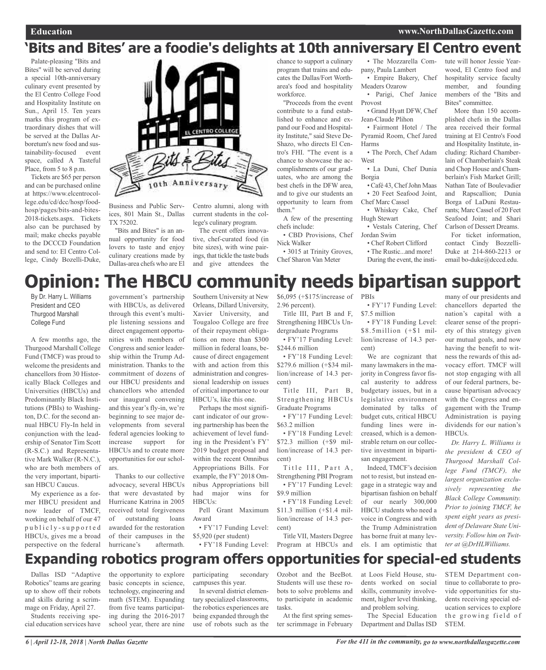wood, El Centro food and hospitality service faculty member, and founding members of the "Bits and

More than 150 accomplished chefs in the Dallas area received their formal training at El Centro's Food and Hospitality Institute, including: Richard Chamberlain of Chamberlain's Steak and Chop House and Chamberlain's Fish Market Grill; Nathan Tate of Boulevadier and Rapscallion; Dunia Borga of LaDuni Restaurants; Marc Cassel of 20 Feet Seafood Joint; and Shari

Bites" committee.

### **'Bits and Bites' are a foodie's delights at 10th anniversary El Centro event** tute will honor Jessie Year-

Palate-pleasing "Bits and Bites" will be served during a special 10th-anniversary culinary event presented by the El Centro College Food and Hospitality Institute on Sun., April 15. Ten years marks this program of extraordinary dishes that will be served at the Dallas Arboretum's new food and sustainability-focused event space, called A Tasteful Place, from 5 to 8 p.m.

Tickets are \$65 per person and can be purchased online at https://www.elcentrocollege.edu/cd/dcc/hosp/foodhosp/pages/bits-and-bites-2018-tickets.aspx. Tickets also can be purchased by mail; make checks payable to the DCCCD Foundation and send to: El Centro College, Cindy Bozelli-Duke,



Business and Public Services, 801 Main St., Dallas TX 75202.

"Bits and Bites" is an annual opportunity for food lovers to taste and enjoy culinary creations made by Dallas-area chefs who are El Centro alumni, along with current students in the college's culinary program.

The event offers innovative, chef-curated food (in bite sizes), with wine pairings, that tickle the taste buds and give attendees the

chance to support a culinary program that trains and educates the Dallas/Fort Wortharea's food and hospitality workforce.

"Proceeds from the event contribute to a fund established to enhance and expand our Food and Hospitality Institute," said Steve De-Shazo, who directs El Centro's FHI. "The event is a chance to showcase the accomplishments of our graduates, who are among the best chefs in the DFW area, and to give our students an opportunity to learn from them."

A few of the presenting chefs include:

• CBD Provisions, Chef Nick Walker

• 3015 at Trinity Groves, Chef Sharon Van Meter

• The Mozzarella Company, Paula Lambert

• Empire Bakery, Chef Meaders Ozarow

Parigi, Chef Janice Provost

• Grand Hyatt DFW, Chef Jean-Claude Plihon

• Fairmont Hotel / The Pyramid Room, Chef Jared Harms

• The Porch, Chef Adam West

• La Duni, Chef Dunia Borgia

• Café 43, ChefJohn Maas • 20 Feet Seafood Joint,

Chef Marc Cassel • Whiskey Cake, Chef

Hugh Stewart

• Vestals Catering, Chef Jordan Swim

• Chef Robert Clifford

• The Rustic...and more! During the event, the insti-

Carlson of Dessert Dreams. For ticket information, contact Cindy Bozzelli-Duke at 214-860-2213 or email bo-duke@dcccd.edu.

# **Opinion: The HBCU community needs bipartisan support**

By Dr. Harry L. Williams President and CEO Thurgood Marshall College Fund

A few months ago, the Thurgood Marshall College Fund (TMCF) was proud to welcome the presidents and chancellors from 30 Historically Black Colleges and Universities (HBCUs) and Predominantly Black Institutions (PBIs) to Washington, D.C. for the second annual HBCU Fly-In held in conjunction with the leadership of Senator Tim Scott (R-S.C.) and Representative Mark Walker (R-N.C.), who are both members of the very important, bipartisan HBCU Caucus.

My experience as a former HBCU president and now leader of TMCF, working on behalf of our 47 p u b l i c l y - s u p p o r t e d HBCUs, gives me a broad perspective on the federal

government's partnership with HBCUs, as delivered through this event's multiple listening sessions and direct engagement opportunities with members of Congress and senior leadership within the Trump Administration. Thanks to the commitment of dozens of our HBCU presidents and chancellors who attended our inaugural convening and this year's fly-in, we're beginning to see major developments from several federal agencies looking to increase support for HBCUs and to create more opportunities for our scholars.

Thanks to our collective advocacy, several HBCUs that were devastated by Hurricane Katrina in 2005 received total forgiveness of outstanding loans awarded for the restoration of their campuses in the hurricane's aftermath.

Southern University at New Orleans, Dillard University, Xavier University, and Tougaloo College are free of their repayment obligations on more than \$300 million in federal loans, because of direct engagement with and action from this administration and congressional leadership on issues of critical importance to our HBCU's, like this one.

Perhaps the most significant indicator of our growing partnership has been the achievement of level funding in the President's FY' 2019 budget proposal and within the recent Omnibus Appropriations Bills. For example, the FY' 2018 Omnibus Appropriations bill had major wins for HBCUs:

Pell Grant Maximum Award

• FY'17 Funding Level: \$5,920 (per student)

\$6,095 (+\$175/increase of 2.96 percent). Title III, Part B and F, Strengthening HBCUs Un-

dergraduate Programs • FY'17 Funding Level:

\$244.6 million • FY'18 Funding Level: \$279.6 million (+\$34 million/increase of 14.3 percent)

Title III, Part B, Strengthening HBCUs Graduate Programs

• FY'17 Funding Level: \$63.2 million • FY'18 Funding Level:

\$72.3 million (+\$9 million/increase of 14.3 percent)

Title III, Part A, Strengthening PBI Program • FY'17 Funding Level: \$9.9 million

• FY'18 Funding Level: \$11.3 million (+\$1.4 million/increase of 14.3 percent)

• FY'18 Funding Level: Program at HBCUs and Title VII, Masters Degree

PBIs • FY'17 Funding Level: \$7.5 million

• FY'18 Funding Level: \$8.5million (+\$1 million/increase of 14.3 percent)

We are cognizant that many lawmakers in the majority in Congress favor fiscal austerity to address budgetary issues, but in a legislative environment dominated by talks of budget cuts, critical HBCU funding lines were increased, which is a demonstrable return on our collective investment in bipartisan engagement.

Indeed, TMCF's decision not to resist, but instead engage in a strategic way and bipartisan fashion on behalf of our nearly 300,000 HBCU students who need a voice in Congress and with the Trump Administration has borne fruit at many levels. I am optimistic that

many of our presidents and chancellors departed the nation's capital with a clearer sense of the propriety of this strategy given our mutual goals, and now having the benefit to witness the rewards of this advocacy effort. TMCF will not stop engaging with all of our federal partners, because bipartisan advocacy with the Congress and engagement with the Trump Administration is paying dividends for our nation's **HBCUs**.

*Dr. Harry L. Williams is the president & CEO of Thurgood Marshall College Fund (TMCF), the largest organization exclusively representing the Black College Community. Prior to joining TMCF, he spent eight years as president of Delaware State University. Follow him on Twitter at @DrHLWilliams.*

**Expanding robotics program offers opportunities for special-ed students**

Dallas ISD "Adaptive Robotics" teams are gearing up to show off their robots and skills during <sup>a</sup> scrimmage on Friday, April 27.

Students receiving special education services have the opportunity to explore basic concepts in science, technology, engineering and math (STEM). Expanding from five teams participating during the 2016-2017 school year, there are nine

participating secondary campuses this year.

In several district elementary specialized classrooms, the robotics experiences are being expanded through the use of robots such as the Ozobot and the BeeBot. Students will use these robots to solve problems and to participate in academic tasks.

At the first spring semester scrimmage in February at Loos Field House, students worked on social skills, community involvement, higher level thinking, and problem solving.

The Special Education Department and Dallas ISD

STEM Department continue to collaborate to provide opportunities for students receiving special education services to explore the growing field of STEM.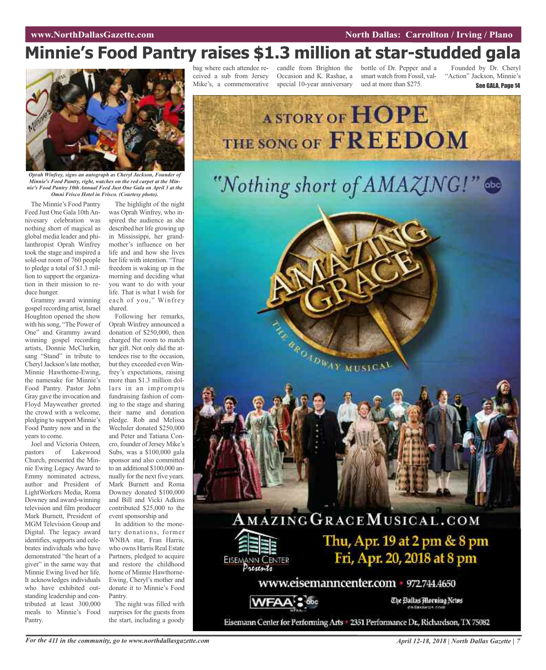#### **WAWREY CONSTRUSTER AND IMPORTATION CONSTRUCTED AT A SECOND <b>North Dallas:** Carrollton / Irving / Plano

# **Minnie's Food Pantry raises \$1.3 million at star-studded gala**



*Oprah Winfrey, signs an autograph as Cheryl Jackson, Founder of Minnie's Food Pantry, right, watches on the red carpet at the Minnie's Food Pantry 10th Annual Feed Just One Gala on April 3 at the Omni Frisco Hotel in Frisco. (Courtesy photo).*

The Minnie's Food Pantry Feed Just One Gala 10th Annivesary celebration was nothing short of magical as global media leader and philanthropist Oprah Winfrey took the stage and inspired a sold-out room of 760 people to pledge a total of \$1.3 million to support the organization in their mission to reduce hunger.

Grammy award winning gospel recording artist, Israel Houghton opened the show with hissong, "The Power of One" and Grammy award winning gospel recording artists, Donnie McClurkin, sang "Stand" in tribute to Cheryl Jackson's late mother, Minnie Hawthorne-Ewing, the namesake for Minnie's Food Pantry. Pastor John Gray gave the invocation and Floyd Mayweather greeted the crowd with a welcome, pledging to support Minnie's Food Pantry now and in the years to come.

Joel and Victoria Osteen, pastors of Lakewood Church, presented the Minnie Ewing Legacy Award to Emmy nominated actress, author and President of LightWorkers Media, Roma Downey and award-winning television and film producer Mark Burnett, President of MGM Television Group and Digital. The legacy award identifies, supports and celebrates individuals who have demonstrated "the heart of a giver" in the same way that Minnie Ewing lived her life. It acknowledges individuals who have exhibited outstanding leadership and contributed at least 300,000 meals to Minnie's Food Pantry.

The highlight of the night was Oprah Winfrey, who inspired the audience as she described her life growing up in Mississippi, her grandmother's influence on her life and and how she lives her life with intention. "True freedom is waking up in the morning and deciding what you want to do with your life. That is what I wish for each of you," Winfrey shared.

Following her remarks, Oprah Winfrey announced a donation of \$250,000, then charged the room to match her gift. Not only did the attendees rise to the occasion, but they exceeded even Winfrey's expectations, raising more than \$1.3 million dollars in an impromptu fundraising fashion of coming to the stage and sharing their name and donation pledge. Rob and Melissa Wechsler donated \$250,000 and Peter and Tatiana Concro, founder of Jersey Mike's Subs, was a \$100,000 gala sponsor and also committed to an additional \$100,000 annually for the next five years. Mark Burnett and Roma Downey donated \$100,000 and Bill and Vicki Adkins contributed \$25,000 to the event sponsorship and

In addition to the monetary donations, former WNBA star, Fran Harris, who owns Harris Real Estate Partners, pledged to acquire and restore the childhood home of Minnie Hawthorne-Ewing, Cheryl's mother and donate it to Minnie's Food Pantry.

The night was filled with surprises for the guests from the start, including a goody

ceived a sub from Jersey

Mike's, a commemorative special 10-year anniversary ued at more than \$275. Occasion and K. Rashae, a

bag where each attendee re-candle from Brighton the bottle of Dr. Pepper and a smart watch from Fossil, val-

Founded by Dr. Cheryl "Action" Jackson, Minnie's See GALA, Page 14

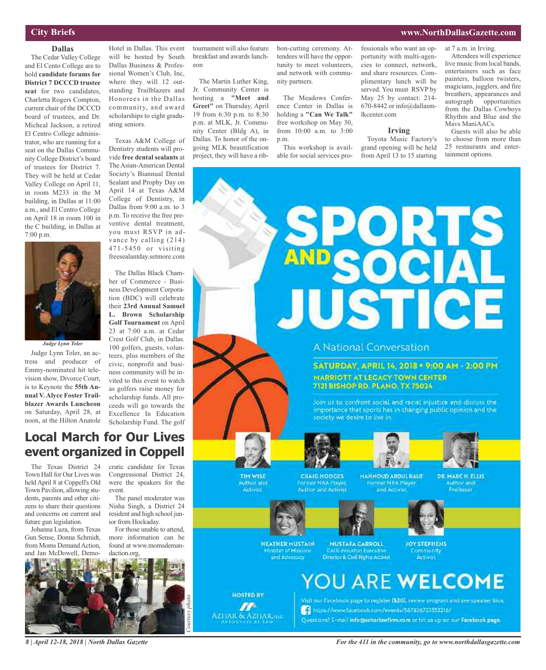#### **www.NorthDallasGazette.com**

at 7 a.m. in Irving.

### **City Briefs**

**Dallas** The Cedar Valley College and El Cento College are to hold **candidate forums for District 7 DCCCD trustee seat** for two candidates, Charletta Rogers Compton, current chair of the DCCCD board of trustees, and Dr. Micheal Jackson, a retired El Centro College administrator, who are running for a seat on the Dallas Community College District's board of trustees for District 7. They will be held at Cedar Valley College on April 11, in room M233 in the M building, in Dallas at 11:00 a.m., and El Centro College on April 18 in room 100 in the C building, in Dallas at 7:00 p.m.



*Judge Lynn Toler*

Judge Lynn Toler, an actress and producer of Emmy-nominated hit television show, Divorce Court, is to Keynote the **55th Annual V. Alyce Foster Trailblazer Awards Luncheon** on Saturday, April 28, at noon, at the Hilton Anatole

Hotel in Dallas. This event will be hosted by South Dallas Business & Professional Women's Club, Inc, where they will 12 outstanding Trailblazers and Honorees in the Dallas community, and award scholarships to eight graduating seniors.

Texas A&M College of Dentistry students will provide **free dental sealants** at The Asian-American Dental Society's Biannual Dental Sealant and Prophy Day on April 14 at Texas A&M College of Dentistry, in Dallas from 9:00 a.m. to 3 p.m. To receive the free preventive dental treatment, you must RSVP in advance by calling (214) 471-5450 or visiting freesealantday.setmore.com

The Dallas Black Chamber of Commerce - Business Development Corporation (BDC) will celebrate their **23rd Annual Samuel L. Brown Scholarship Golf Tournament** on April 23 at 7:00 a.m. at Cedar Crest Golf Club, in Dallas. 100 golfers, guests, volunteers, plus members of the civic, nonprofit and business community will be invited to this event to watch as golfers raise money for scholarship funds. All proceeds will go towards the Excellence In Education Scholarship Fund. The golf

### **Local March for Our Lives event organized in Coppell**

The Texas District 24 Town Hall for Our Lives was held April 8 at Coppell's Old Town Pavilion, allowing students, parents and other citizens to share their questions and concerns on current and future gun legislation.

Johanna Luza, from Texas Gun Sense, Donna Schmidt, from Moms Demand Action, and Jan McDowell, Democratic candidate for Texas Congressional District 24, were the speakers for the event.

The panel moderator was Nisha Singh, a District 24 resident and high school junior from Hockaday.

For those unable to attend, more information can be found at www.momsdemandaction.org,



*8 | April 12-18, 2018 | North Dallas Gazette*

tournament will also feature breakfast and awards luncheon

The Martin Luther King, Jr. Community Center is hosting a **"Meet and Greet"** on Thursday, April 19 from 6:30 p.m. to 8:30 p.m. at MLK, Jr. Community Center (Bldg A), in Dallas. To honor of the ongoing MLK beautification project, they will have a rib-

bon-cutting ceremony. Attendees will have the opportunity to meet volunteers, and network with community partners.

The Meadows Conference Center in Dallas is holding a **"Can We Talk"** free workshop on May 30, from 10:00 a.m. to 3:00 p.m.

This workshop is available for social services professionals who want an opportunity with multi-agencies to connect, network, and share resources. Complimentary lunch will be served. You must RSVP by May 25 by contact: 214- 670-8442 or info@dallasmlkcenter.com

#### **Irving**

Toyota Music Factory's grand opening will be held from April 13 to 15 starting

Attendees will experience live music from local bands, entertainers such as face painters, balloon twisters, magicians, jugglers, and fire

breathers, appearances and autograph opportunities from the Dallas Cowboys Rhythm and Blue and the Mavs ManiAACs.

Guests will also be able to choose from more than 25 restaurants and entertainment options.

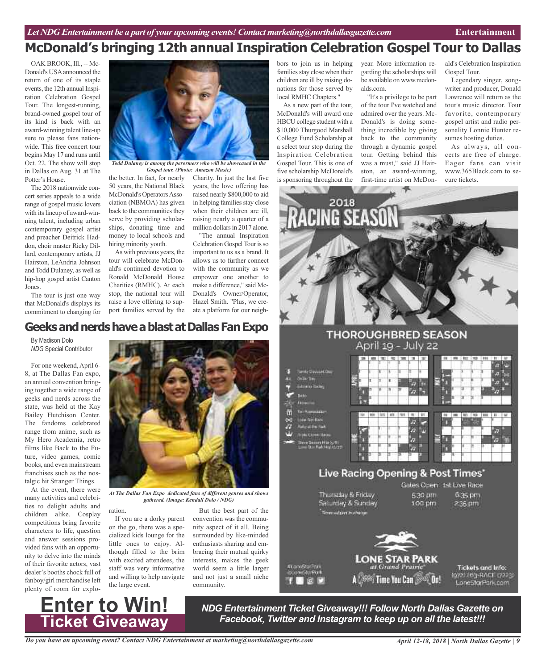OAK BROOK, Ill., -- Mc-Donald's USAannounced the return of one of its staple events, the 12th annual Inspiration Celebration Gospel Tour. The longest-running, brand-owned gospel tour of its kind is back with an award-winning talent line-up sure to please fans nationwide. This free concert tour begins May 17 and runs until Oct. 22. The show will stop in Dallas on Aug. 31 at The Potter's House.

The 2018 nationwide concert series appeals to a wide range of gospel music lovers with its lineup of award-winning talent, including urban contemporary gospel artist and preacher Deitrick Haddon, choir master Ricky Dillard, contemporary artists, JJ Hairston, LeAndria Johnson and Todd Dulaney, as well as hip-hop gospel artist Canton Jones.

The tour is just one way that McDonald's displays its commitment to changing for



*Gospel tour. (Photo: Amazon Music)*

the better. In fact, for nearly 50 years, the National Black McDonald's Operators Association (NBMOA) has given back to the communities they serve by providing scholarships, donating time and money to local schools and hiring minority youth.

As with previous years, the tour will celebrate McDonald's continued devotion to Ronald McDonald House Charities (RMHC). At each stop, the national tour will raise a love offering to support families served by the Charity. In just the last five years, the love offering has raised nearly \$800,000 to aid in helping families stay close when their children are ill, raising nearly a quarter of a million dollars in 2017 alone.

"The annual Inspiration Celebration Gospel Tour is so important to us as a brand. It allows us to further connect with the community as we empower one another to make a difference," said Mc-Donald's Owner/Operator, Hazel Smith. "Plus, we create a platform for our neigh-

**GeeksandnerdshaveablastatDallasFanExpo**

By Madison Dolo *NDG* Special Contributor

For one weekend,April 6- 8, at The Dallas Fan expo, an annual convention bringing together a wide range of geeks and nerds across the state, was held at the Kay Bailey Hutchison Center. The fandoms celebrated range from anime, such as My Hero Academia, retro films like Back to the Future, video games, comic books, and even mainstream franchises such as the nostalgic hit Stranger Things.

At the event, there were many activities and celebrities to delight adults and children alike. Cosplay competitions bring favorite characters to life, question and answer sessions provided fans with an opportunity to delve into the minds of their favorite actors, vast dealer's booths chock full of fanboy/girl merchandise left plenty of room for explo-



*At The Dallas Fan Expo dedicated fans of different genres and shows gathered. (Image: Kendall Dolo / NDG)*

ration.

If you are a dorky parent on the go, there was a specialized kids lounge for the little ones to enjoy. Although filled to the brim with excited attendees, the staff was very informative and willing to help navigate the large event.

But the best part of the convention was the community aspect of it all. Being surrounded by like-minded enthusiasts sharing and embracing their mutual quirky interests, makes the geek world seem a little larger and not just a small niche community.

bors to join us in helping families stay close when their children are ill by raising donations for those served by local RMHC Chapters."

As a new part of the tour, McDonald's will award one HBCU college student with a \$10,000 Thurgood Marshall College Fund Scholarship at a select tour stop during the Inspiration Celebration Gospel Tour. This is one of five scholarship McDonald's is sponsoring throughout the

year. More information regarding the scholarships will be available on www.mcdonalds.com.

"It's a privilege to be part of the tour I've watched and admired over the years. Mc-Donald's is doing something incredible by giving back to the community through a dynamic gospel tour. Getting behind this was a must," said JJ Hairston, an award-winning, first-time artist on McDonald's Celebration Inspiration Gospel Tour.

Legendary singer, songwriter and producer, Donald Lawrence will return as the tour's music director. Tour favorite, contemporary gospel artist and radio personality Lonnie Hunter resumes hosting duties.

As always, all concerts are free of charge. Eager fans can visit www.365Black.com to secure tickets.





*NDG Entertainment Ticket Giveaway!!! Follow North Dallas Gazette on Facebook, Twitter and Instagram to keep up on all the latest!!!*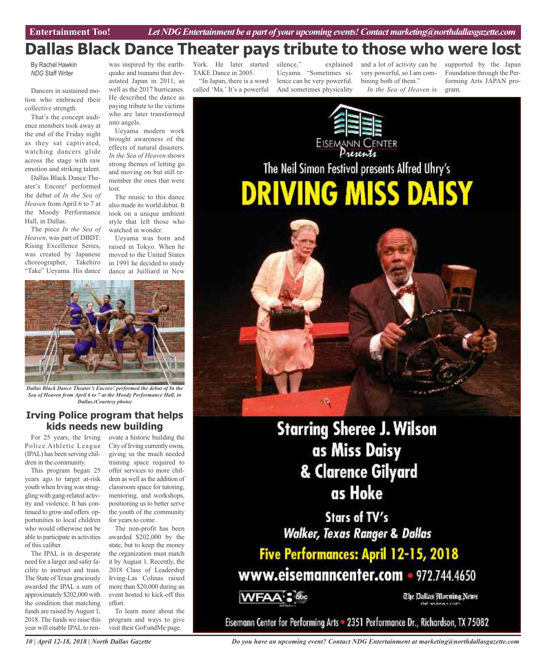## **Dallas Black Dance Theater pays tribute to those who were lost**

By Rachel Hawkin *NDG* Staff Writer

Dancers in sustained motion who embraced their collective strength.

That's the concept audience members took away at the end of the Friday night as they sat captivated, watching dancers glide across the stage with raw emotion and striking talent.

Dallas Black Dance Theater's Encore! performed the debut of *In the Sea of Heaven* from April 6 to 7 at the Moody Performance Hall, in Dallas.

The piece *In the Sea of Heaven*, was part of DBDT: Rising Excellence Series, was created by Japanese choreographer, Takehiro "Take" Ueyama. His dance

was inspired by the earthquake and tsunami that devastated Japan in 2011, as well as the 2017 hurricanes. He described the dance as paying tribute to the victims who are later transformed into angels.

Ueyama modern work brought awareness of the effects of natural disasters. *In the Sea of Heaven* shows strong themes of letting go and moving on but still remember the ones that were lost.

The music to this dance also made its world debut. It took on a unique ambient style that left those who watched in wonder.

Ueyama was born and raised in Tokyo. When he moved to the United States in 1991 he decided to study dance at Juilliard in New



*Dallas Black Dance Theater's Encore! performed the debut of In the Sea of Heaven from April 6 to 7 at the Moody Performance Hall, in Dallas.(Courtesy photo)*

### **Irving Police program that helps kids needs new building**

For 25 years, the Irving Police Athletic League (IPAL) has been serving children in the community.

This program began 25 years ago to target at-risk youth when Irving was struggling with gang-related activity and violence. It has continued to grow and offers opportunities to local children who would otherwise not be able to participate in activities of this caliber.

The IPAL is in desperate need for a larger and safer facility to instruct and train. The State ofTexas graciously awarded the IPAL a sum of approximately \$202,000 with the condition that matching funds are raised by August 1, 2018. The funds we raise this year will enable IPAL to renovate a historic building the City of Irving currently owns, giving us the much needed training space required to offer services to more children as well asthe addition of classroom space for tutoring, mentoring, and workshops, positioning us to better serve the youth of the community for years to come.

The non-profit has been awarded \$202,000 by the state, but to keep the money the organization must match it by August 1. Recently, the 2018 Class of Leadership Irving-Las Colinas raised more than \$20,000 during an event hosted to kick-off this effort.

To learn more about the program and ways to give visit their GoFundMe page.

York. He later started TAKE Dance in 2005.

"In Japan, there is a word called 'Ma.' It's a powerful

silence," explained Ueyama. "Sometimes silence can be very powerful. And sometimes physicality

and a lot of activity can be very powerful, so I am combining both of them." *In the Sea of Heaven* is supported by the Japan Foundation through the Performing Arts JAPAN program.



**Starring Sheree J. Wilson** as Miss Daisy & Clarence Gilyard as Hoke

Stars of TV's **Walker, Texas Ranger & Dallas** 

Five Performances: April 12-15, 2018 www.eisemanncenter.com - 972.744.4650

**WFAA** 

The Dallas Morning News

Eisemann Center for Performing Arts = 2351 Performance Dr., Richardson, TX 75082

*10 | April 12-18, 2018 | North Dallas Gazette*

*Do you have an upcoming event? Contact NDG Entertainment at marketing@northdallasgazette.com*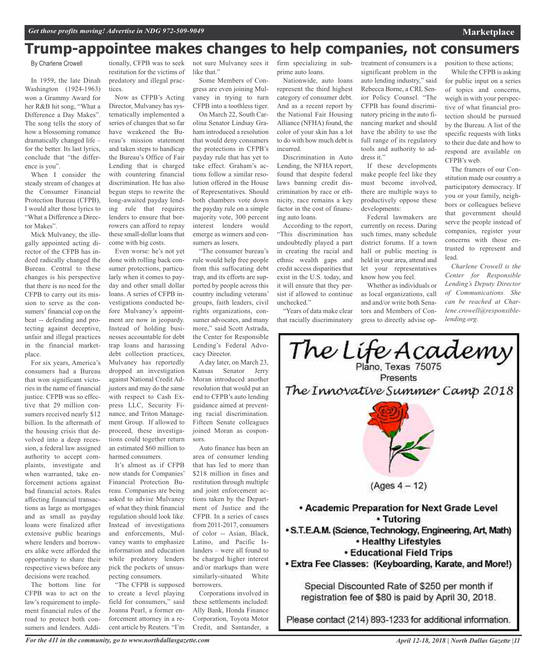### **Trump-appointee makes changes to help companies, not consumers**

By Charlene Crowell

In 1959, the late Dinah Washington (1924-1963) won a Grammy Award for her R&B hit song, "What a Difference a Day Makes". The song tells the story of how a blossoming romance dramatically changed life – for the better. Its last lyrics, conclude that "the difference is you".

When I consider the steady stream of changes at the Consumer Financial Protection Bureau (CFPB), I would alter those lyrics to "What a Difference a Director Makes".

Mick Mulvaney, the illegally appointed acting director of the CFPB has indeed radically changed the Bureau. Central to these changes is his perspective that there is no need for the CFPB to carry out its mission to serve as the consumers' financial cop on the beat -- defending and protecting against deceptive, unfair and illegal practices in the financial marketplace.

For six years, America's consumers had a Bureau that won significant victories in the name of financial justice. CFPB was so effective that 29 million consumers received nearly \$12 billion. In the aftermath of the housing crisis that devolved into a deep recession, a federal law assigned authority to accept complaints, investigate and when warranted, take enforcement actions against bad financial actors. Rules affecting financial transactions as large as mortgages and as small as payday loans were finalized after extensive public hearings where lenders and borrowers alike were afforded the opportunity to share their respective views before any decisions were reached.

The bottom line for CFPB was to act on the law's requirement to implement financial rules of the road to protect both consumers and lenders. Addi-

tionally, CFPB was to seek restitution for the victims of predatory and illegal practices.

Now as CFPB's Acting Director, Mulvaney has systematically implemented a series of changes that so far have weakened the Bureau's mission statement and taken steps to handicap the Bureau's Office of Fair Lending that is charged with countering financial discrimination. He has also begun steps to rewrite the long-awaited payday lending rule that requires lenders to ensure that borrowers can afford to repay these small-dollar loans that come with big costs.

Even worse: he's not yet done with rolling back consumer protections, particularly when it comes to payday and other small dollar loans. A series of CFPB investigations conducted before Mulvaney's appointment are now in jeopardy. Instead of holding businesses accountable for debt trap loans and harassing debt collection practices, Mulvaney has reportedly dropped an investigation against National Credit Adjustors and may do the same with respect to Cash Express LLC, Security Finance, and Triton Management Group. If allowed to proceed, these investigations could together return an estimated \$60 million to harmed consumers.

It's almost as if CFPB now stands for Companies' Financial Protection Bureau. Companies are being asked to advise Mulvaney of what they think financial regulation should look like. Instead of investigations and enforcements, Mulvaney wants to emphasize information and education while predatory lenders pick the pockets of unsuspecting consumers.

"The CFPB is supposed to create a level playing field for consumers," said Joanna Pearl, a former enforcement attorney in a recent article by Reuters. "I'm

not sure Mulvaney sees it like that."

Some Members of Congress are even joining Mulvaney in trying to turn CFPB into a toothless tiger.

On March 22, South Carolina Senator Lindsay Graham introduced a resolution that would deny consumers the protections in CFPB's payday rule that has yet to take effect. Graham's actions follow a similar resolution offered in the House of Representatives. Should both chambers vote down the payday rule on a simple majority vote, 300 percent interest lenders would emerge as winners and consumers as losers.

"The consumer bureau's rule would help free people from this suffocating debt trap, and its efforts are supported by people across this country including veterans' groups, faith leaders, civil rights organizations, consumer advocates, and many more," said Scott Astrada, the Center for Responsible Lending's Federal Advocacy Director.

A day later, on March 23, Kansas Senator Jerry Moran introduced another resolution that would put an end to CFPB's auto lending guidance aimed at preventing racial discrimination. Fifteen Senate colleagues joined Moran as cosponsors.

Auto finance has been an area of consumer lending that has led to more than \$218 million in fines and restitution through multiple and joint enforcement actions taken by the Department of Justice and the CFPB. In a series of cases from 2011-2017, consumers of color -- Asian, Black, Latino, and Pacific Islanders – were all found to be charged higher interest and/or markups than were similarly-situated White borrowers.

Corporations involved in these settlements included: Ally Bank, Honda Finance Corporation, Toyota Motor Credit, and Santander, a

firm specializing in subprime auto loans.

Nationwide, auto loans represent the third highest category of consumer debt. And as a recent report by the National Fair Housing Alliance (NFHA) found, the color of your skin has a lot to do with how much debt is incurred.

Discrimination in Auto Lending, the NFHA report, found that despite federal laws banning credit discrimination by race or ethnicity, race remains a key factor in the cost of financing auto loans.

According to the report, "This discrimination has undoubtedly played a part in creating the racial and ethnic wealth gaps and credit access disparities that exist in the U.S. today, and it will ensure that they persist if allowed to continue unchecked."

"Years of data make clear that racially discriminatory treatment of consumers is a significant problem in the auto lending industry," said Rebecca Borne, a CRL Senior Policy Counsel. "The CFPB has found discriminatory pricing in the auto financing market and should have the ability to use the full range of its regulatory tools and authority to address it."

If these developments make people feel like they must become involved, there are multiple ways to productively oppose these developments:

Federal lawmakers are currently on recess. During such times, many schedule district forums. If a town hall or public meeting is held in your area, attend and let your representatives know how you feel.

Whether as individuals or as local organizations, call and and/or write both Senators and Members of Congress to directly advise opposition to these actions;

**Marketplace**

While the CFPB is asking for public input on a series of topics and concerns, weigh in with your perspective of what financial protection should be pursued by the Bureau. A list of the specific requests with links to their due date and how to respond are available on CFPB's web.

The framers of our Constitution made our country a participatory democracy. If you or your family, neighbors or colleagues believe that government should serve the people instead of companies, register your concerns with those entrusted to represent and lead.

*Charlene Crowell is the Center for Responsible Lending's Deputy Director of Communications. She can be reached at Charlene.crowell@responsiblelending.org.*



registration fee of \$80 is paid by April 30, 2018.

Please contact (214) 893-1233 for additional information.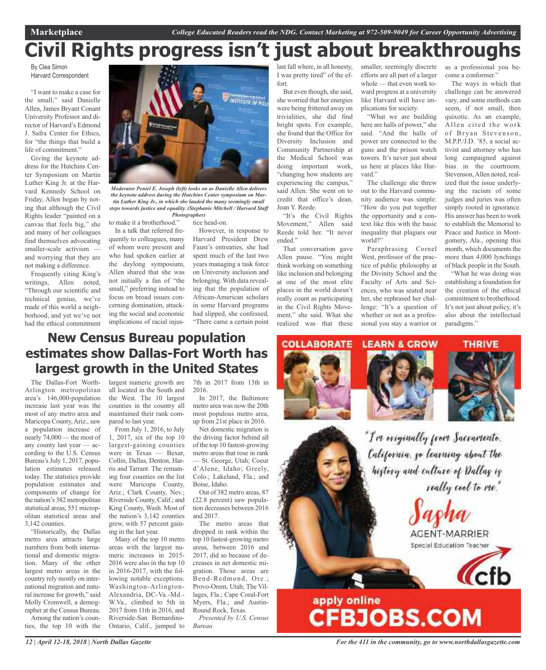# **Civil Rights progress isn't just about breakthroughs**

By Clea Simon Harvard Correspondent

"I want to make a case for the small," said Danielle Allen, James Bryant Conant University Professor and director of Harvard's Edmond J. Safra Center for Ethics, for "the things that build a life of commitment."

Giving the keynote address for the Hutchins Center Symposium on Martin Luther King Jr. at the Harvard Kennedy School on Friday, Allen began by noting that although the Civil Rights leader "painted on a canvas that feels big," she and many of her colleagues find themselves advocating smaller-scale activism and worrying that they are not making a difference.

Frequently citing King's writings, Allen noted, "Through our scientific and technical genius, we've made of this world a neighborhood, and yet we've not had the ethical commitment



*Moderator Peniel E. Joseph (left) looks on as Danielle Allen delivers the keynote address during the Hutchins Center symposium on Martin Luther King Jr., in which she lauded the many seemingly small steps towards justice and equality. (Stephanie Mitchell / Harvard Staff*

to make it a brotherhood." *Photographer)*

In a talk that referred frequently to colleagues, many of whom were present and who had spoken earlier at the daylong symposium, Allen shared that she was not initially a fan of "the small," preferring instead to focus on broad issues concerning domination, attacking the social and economic implications of racial injus-

tice head-on. However, in response to Harvard President Drew Faust's entreaties, she had spent much of the last two years managing a task force on University inclusion and belonging. With data revealing that the population of African-American scholars in some Harvard programs had slipped, she confessed, "There came a certain point

last fall where, in all honesty, I was pretty tired" of the effort.

But even though, she said, she worried that her energies were being frittered away on trivialities, she did find bright spots. For example, she found that the Office for Diversity Inclusion and Community Partnership at the Medical School was doing important work, "changing how students are experiencing the campus," said Allen. She went on to credit that office's dean, Joan Y. Reede.

"It's the Civil Rights Movement," Allen said Reede told her. "It never ended."

That conversation gave Allen pause. "You might think working on something like inclusion and belonging at one of the most elite places in the world doesn't really count as participating in the Civil Rights Movement," she said. What she realized was that these smaller, seemingly discrete efforts are all part of a larger whole — that even work toward progress at a university like Harvard will have implications for society.

"What we are building here are halls of power," she said. "And the halls of power are connected to the guns and the prison watch towers. It's never just about us here at places like Harvard."

The challenge she threw out to the Harvard community audience was simple: "How do you put together the opportunity and a context like this with the basic inequality that plagues our world?"

Paraphrasing Cornel West, professor of the practice of public philosophy at the Divinity School and the Faculty of Arts and Sciences, who was seated near her, she rephrased her challenge: "It's a question of whether or not as a professional you stay a warrior or

as a professional you become a conformer."

The ways in which that challenge can be answered vary, and some methods can seem, if not small, then quixotic. As an example, Allen cited the work of Bryan Stevenson, M.P.P./J.D. '85, a social activist and attorney who has long campaigned against bias in the courtroom. Stevenson, Allen noted, realized that the issue underlying the racism of some judges and juries was often simply rooted in ignorance. His answer has been to work to establish the Memorial to Peace and Justice in Montgomery, Ala., opening this month, which documents the more than 4,000 lynchings of black people in the South.

"What he was doing was establishing a foundation for the creation of the ethical commitment to brotherhood. It's not just about policy, it's also about the intellectual paradigms."

### **New Census Bureau population estimates show Dallas-Fort Worth has largest growth in the United States**

The Dallas-Fort Worth-Arlington metropolitan area's 146,000-population increase last year was the most of any metro area and Maricopa County, Ariz., saw a population increase of nearly 74,000 — the most of any county last year — according to the U.S. Census Bureau's July 1, 2017, population estimates released today. The statistics provide population estimates and components of change for the nation's 382 metropolitan statistical areas, 551 micropolitan statistical areas and 3,142 counties.

"Historically, the Dallas metro area attracts large numbers from both international and domestic migration. Many of the other largest metro areas in the country rely mostly on international migration and natural increase for growth," said Molly Cromwell, a demographer at the Census Bureau. Among the nation's counties, the top 10 with the

largest numeric growth are all located in the South and the West. The 10 largest counties in the country all maintained their rank compared to last year.

From July 1, 2016, to July 1, 2017, six of the top 10 largest-gaining counties were in Texas — Bexar, Collin, Dallas, Denton, Harris and Tarrant. The remaining four counties on the list were Maricopa County, Ariz.; Clark County, Nev.; Riverside County, Calif.; and King County, Wash. Most of the nation's 3,142 counties grew, with 57 percent gaining in the last year.

Many of the top 10 metro areas with the largest numeric increases in 2015- 2016 were also in the top 10 in 2016-2017, with the following notable exceptions: Washington-Arlington-Alexandria, DC-Va.-Md.- W.Va., climbed to 5th in 2017 from 11th in 2016, and Riverside-San Bernardino-Ontario, Calif., jumped to

7th in 2017 from 13th in 2016.

In 2017, the Baltimore metro area was now the 20th most populous metro area, up from 21st place in 2016.

Net domestic migration is the driving factor behind all of the top 10 fastest-growing metro areas that rose in rank — St. George, Utah; Coeur d'Alene, Idaho; Greely, Colo.; Lakeland, Fla.; and Boise, Idaho.

Out of 382 metro areas, 87 (22.8 percent) saw population decreases between 2016 and 2017.

The metro areas that dropped in rank within the top 10 fastest-growing metro areas, between 2016 and 2017, did so because of decreases in net domestic migration. Those areas are Bend-Redmond, Ore.; Provo-Orem, Utah; The Villages, Fla.; Cape Coral-Fort Myers, Fla.; and Austin-Round Rock, Texas.

*Presented by U.S. Census Bureau*



*For the 411 in the community, go to www.northdallasgazette.com*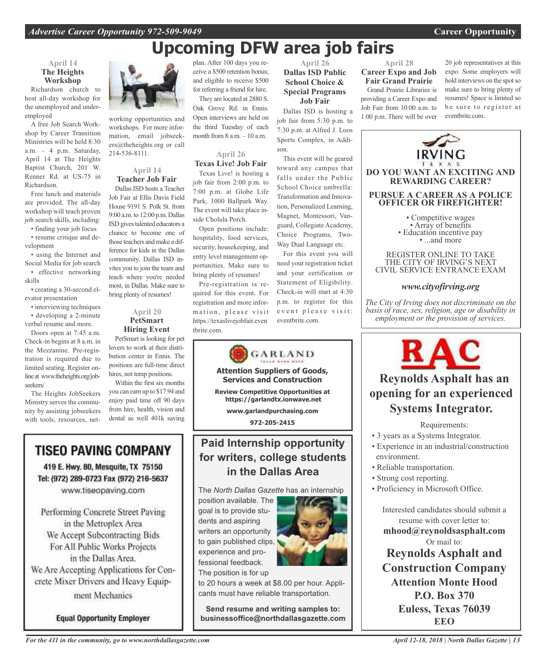# **Upcoming DFW area job fairs**

#### **April 14 The Heights Workshop**

Richardson church to host all-day workshop for the unemployed and underemployed

A free Job Search Workshop by Career Transition Ministries will be held 8:30 a.m. – 4 p.m. Saturday, April 14 at The Heights Baptist Church, 201 W. Renner Rd. at US-75 in Richardson.

Free lunch and materials are provided. The all-day workshop will teach proven job search skills, including:

• finding your job focus • resume critique and development

• using the Internet and Social Media for job search • effective networking skills

• creating a 30-second elevator presentation

• interviewing techniques • developing a 2-minute

verbal resume and more. Doors open at 7:45 a.m.

Check-in begins at 8 a.m. in the Mezzanine. Pre-registration is required due to limited seating. Register onlineat www.theheights.org/jobseekers/

The Heights JobSeekers Ministry serves the community by assisting jobseekers with tools, resources, net-



working opportunities and workshops. For more information, email jobseekers@theheights.org or call 214-536-8111.

#### **April 14 Teacher Job Fair**

Dallas ISD hosts a Teacher Job Fair at Ellis Davis Field House 9191 S. Polk St. from 9:00 a.m. to 12:00 p.m. Dallas ISD gives talented educators a chance to become one of those teachers and make a difference for kids in the Dallas community. Dallas ISD invites you to join the team and teach where you're needed most, in Dallas. Make sure to bring plenty of resumes!

#### **April 20 PetSmart Hiring Event**

PetSmart is looking for pet lovers to work at their distribution center in Ennis. The positions are full-time direct hires, not temp positions.

Within the first six months you can earn up to \$17.94 and enjoy paid time off 90 days from hire, health, vision and dental as well 401k saving

### **TISEO PAVING COMPANY**

419 E. Hwy. 80, Mesquite, TX 75150 Tel: (972) 289-0723 Fax (972) 216-5637 www.tiseopaving.com

Performing Concrete Street Paving in the Metroplex Area We Accept Subcontracting Bids For All Public Works Projects in the Dallas Area. We Are Accepting Applications for Concrete Mixer Drivers and Heavy Equipment Mechanics

**Equal Opportunity Employer** 

plan. After 100 days you receive a \$500 retention bonus; and eligible to receive \$500 for referring a friend for hire. They are located at 2880 S.

Oak Grove Rd. in Ennis. Open interviews are held on the third Tuesday of each month from 8 a.m. – 10 a.m.

**April 26 Texas Live! Job Fair**

Texas Live! is hosting a job fair from 2:00 p.m. to 7:00 p.m. at Globe Life Park, 1000 Ballpark Way. The event will take place inside Cholula Porch.

Open positions include: hospitality, food services, security, housekeeping, and entry level management opportunities. Make sure to bring plenty of resumes!

Pre-registration is required for this event. For registration and more information, please visit https://texaslivejobfair.even tbrite.com.



### **Paid Internship opportunity for writers, college students in the Dallas Area**

The *North Dallas Gazette* has an internship

position available. The goal is to provide students and aspiring writers an opportunity to gain published clips, experience and professional feedback. The position is for up



to 20 hours a week at \$8.00 per hour. Applicants must have reliable transportation.

**Send resume and writing samples to: businessoffice@northdallasgazette.com**

#### **April 26 Dallas ISD Public School Choice & Special Programs Job Fair**

Dallas ISD is hosting a job fair from 5:30 p.m. to 7:30 p.m. at Alfred J. Loos Sports Complex, in Addison.

This event will be geared toward any campus that falls under the Public School Choice umbrella: Transformation and Innovation, Personalized Learning, Magnet, Montessori, Vanguard, Collegiate Academy, Choice Programs, Two-Way Dual Language etc.

For this event you will need your registration ticket and your certification or Statement of Eligibility. Check-in will start at 4:30 p.m. to register for this event please visit: eventbrite.com.

#### **April 28 Career Expo and Job Fair Grand Prairie**

Grand Prairie Libraries is providing a Career Expo and Job Fair from 10:00 a.m. to 1:00 p.m. There will be over

20 job representatives at this expo. Some employers will hold interviews on the spot so make sure to bring plenty of resumes! Space is limited so be sure to register at eventbrite.com.



THE CITY OF IRVING'S NEXT CIVIL SERVICE ENTRANCE EXAM

### *www.cityofirving.org*

*The City of Irving does not discriminate on the basis of race, sex, religion, age or disability in employment or the provision of services.*



### **Reynolds Asphalt has an opening for an experienced Systems Integrator.**

#### Requirements:

- 3 years as a Systems Integrator.
- Experience in an industrial/construction environment.
- Reliable transportation.
- Strong cost reporting.
- Proficiency in Microsoft Office.

Interested candidates should submit a resume with cover letter to: **mhood@reynoldsasphalt.com** Or mail to: **Reynolds Asphalt and Construction Company Attention Monte Hood P.O. Box 370 Euless, Texas 76039 EEO**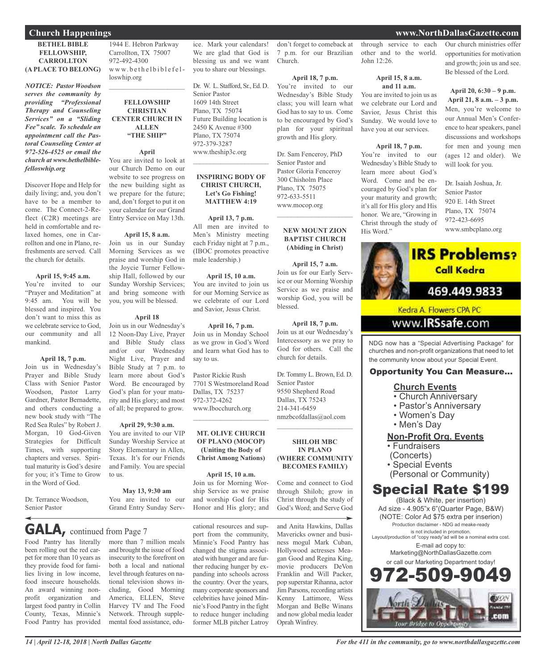#### **BETHEL BIBLE FELLOWSHIP, CARROLLTON (A PLACE TO BELONG)**

*NOTICE: Pastor Woodson serves the community by providing "Professional Therapy and Counseling Services" on a "Sliding Fee" scale. To schedule an appointment call the Pastoral Counseling Center at 972-526-4525 or email the church at www.bethelbiblefelloswhip.org*

Discover Hope and Help for daily living; and, you don't have to be a member to come. The Connect-2-Reflect (C2R) meetings are held in comfortable and relaxed homes, one in Carrollton and one in Plano, refreshments are served. Call the church for details.

#### **April 15, 9:45 a.m.**

You're invited to our "Prayer and Meditation" at 9:45 am. You will be blessed and inspired. You don't want to miss this as we celebrate service to God, our community and all mankind.

#### **April 18, 7 p.m.**

Join us in Wednesday's Prayer and Bible Study Class with Senior Pastor Woodson, Pastor Larry Gardner, Pastor Bernadette, and others conducting a new book study with "The Red Sea Rules" by Robert J. Morgan, 10 God-Given Strategies for Difficult Times, with supporting chapters and verses. Spiritual maturity is God's desire for you; it's Time to Grow in the Word of God.

Dr. Terrance Woodson, Senior Pastor

1944 E. Hebron Parkway Carrollton, TX 75007 972-492-4300 www.bethelbiblefelloswhip.org

#### **FELLOWSHIP CHRISTIAN CENTER CHURCH IN ALLEN "THE SHIP"**

 $\mathcal{L}_\text{max}$  , which is a set of the set of the set of the set of the set of the set of the set of the set of the set of the set of the set of the set of the set of the set of the set of the set of the set of the set of

**April**

You are invited to look at our Church Demo on our website to see progress on the new building sight as we prepare for the future; and, don't forget to put it on your calendar for our Grand Entry Service on May 13th.

#### **April 15, 8 a.m.**

Join us in our Sunday Morning Services as we praise and worship God in the Joycie Turner Fellowship Hall, followed by our Sunday Worship Services; and bring someone with you, you will be blessed.

#### **April 18**

Join us in our Wednesday's 12 Noon-Day Live, Prayer and Bible Study class and/or our Wednesday Night Live, Prayer and Bible Study at 7 p.m. to learn more about God's Word. Be encouraged by God's plan for your maturity and His glory; and most of all; be prepared to grow.

#### **April 29, 9:30 a.m.**

You are invited to our VIP Sunday Worship Service at Story Elementary in Allen, Texas. It's for our Friends and Family. You are special to us.

#### **May 13, 9:30 am** You are invited to our

Grand Entry Sunday Serv-

**GALA,** continued from Page <sup>7</sup>

Food Pantry has literally been rolling out the red carpet for more than 10 years as they provide food for families living in low income, food insecure households. An award winning nonprofit organization and largest food pantry in Collin County, Texas, Minnie's Food Pantry has provided

more than 7 million meals and brought the issue of food insecurity to the forefront on both a local and national level through features on national television shows including, Good Morning America, ELLEN, Steve Harvey TV and The Food Network. Through supplemental food assistance, edu-

**April 15, 10 a.m.** You are invited to join us for our Morning Service as we celebrate of our Lord and Savior, Jesus Christ. **April 16, 7 p.m.** Join us in Monday School as we grow in God's Word and learn what God has to say to us. Pastor Rickie Rush 7701 S Westmoreland Road Dallas, TX 75237

972-372-4262 www.Ibocchurch.org  $\overline{\phantom{a}}$  , and the set of the set of the set of the set of the set of the set of the set of the set of the set of the set of the set of the set of the set of the set of the set of the set of the set of the set of the s

you to share our blessings.

Dr. W. L. Stafford, Sr., Ed. D.

Future Building location is 2450 K Avenue #300 Plano, TX 75074 972-379-3287 www.theship3c.org

 $\overline{\phantom{a}}$  , and the set of the set of the set of the set of the set of the set of the set of the set of the set of the set of the set of the set of the set of the set of the set of the set of the set of the set of the s

**INSPIRING BODY OF CHRIST CHURCH, Let's Go Fishing! MATTHEW 4:19**

**April 13, 7 p.m.** All men are invited to Men's Ministry meeting each Friday night at 7 p.m., (IBOC promotes proactive

male leadership.)

Senior Pastor 1609 14th Street Plano, TX 75074

**MT. OLIVE CHURCH OF PLANO (MOCOP) (Uniting the Body of Christ Among Nations)**

**April 15, 10 a.m.** Join us for Morning Worship Service as we praise

and worship God for His Honor and His glory; and

cational resources and support from the community, Minnie's Food Pantry has changed the stigma associated with hunger and are further reducing hunger by expanding into schools across the country. Over the years, many corporate sponsors and celebrities have joined Minnie's Food Pantry in the fight to reduce hunger including former MLB pitcher Latroy

ice. Mark your calendars! We are glad that God is blessing us and we want don't forget to comeback at 7 p.m. for our Brazilian Church.

#### **April 18, 7 p.m.**

You're invited to our Wednesday's Bible Study class; you will learn what God has to say to us. Come to be encouraged by God's plan for your spiritual growth and His glory.

Dr. Sam Fenceroy, PhD Senior Pastor and Pastor Gloria Fenceroy 300 Chisholm Place Plano, TX 75075 972-633-5511 www.mocop.org

#### **NEW MOUNT ZION BAPTIST CHURCH (Abiding in Christ)**

 $\overline{\phantom{a}}$  , and the set of the set of the set of the set of the set of the set of the set of the set of the set of the set of the set of the set of the set of the set of the set of the set of the set of the set of the s

**April 15, 7 a.m.** Join us for our Early Service or our Morning Worship Service as we praise and worship God, you will be blessed.

**April 18, 7 p.m.** Join us at our Wednesday's Intercessory as we pray to God for others. Call the church for details.

Dr. Tommy L. Brown, Ed. D. Senior Pastor 9550 Shepherd Road Dallas, TX 75243 214-341-6459 nmzbcofdallas@aol.com

#### **SHILOH MBC IN PLANO (WHERE COMMUNITY BECOMES FAMILY)**

 $\overline{\phantom{a}}$  , and the set of the set of the set of the set of the set of the set of the set of the set of the set of the set of the set of the set of the set of the set of the set of the set of the set of the set of the s

Come and connect to God through Shiloh; grow in Christ through the study of God's Word; and Serve God

and Anita Hawkins, Dallas Mavericks owner and business mogul Mark Cuban, Hollywood actresses Meagan Good and Regina King, movie producers DeVon Franklin and Will Packer, pop superstar Rihanna, actor Jim Parsons, recording artists Kenny Lattimore, Wess Morgan and BeBe Winans and now global media leader Oprah Winfrey.

through service to each other and to the world. John 12:26.

#### **April 15, 8 a.m. and 11 a.m.**

You are invited to join us as we celebrate our Lord and Savior, Jesus Christ this Sunday. We would love to have you at our services.

#### **April 18, 7 p.m.**

You're invited to our Wednesday's Bible Study to learn more about God's Word. Come and be encouraged by God's plan for your maturity and growth; it's all for His glory and His honor. We are, "Growing in Christ through the study of His Word."

Our church ministries offer opportunities for motivation and growth; join us and see. Be blessed of the Lord.

#### **April 20, 6:30 – 9 p.m.**

**April 21, 8 a.m. – 3 p.m.** Men, you're welcome to our Annual Men's Conference to hear speakers, panel discussions and workshops for men and young men (ages 12 and older). We will look for you.

Dr. Isaiah Joshua, Jr. Senior Pastor 920 E. 14th Street Plano, TX 75074 972-423-6695 www.smbcplano.org



www.**IRSsafe.com** 

NDG now has a "Special Advertising Package" for churches and non-profit organizations that need to let the community know about your Special Event.

#### Opportunity You Can Measure...

#### **Church Events**

- Church Anniversary
- Pastor's Anniversary
- Women's Day
- Men's Day

#### **Non-Profit Org. Events**

- Fundraisers
- (Concerts)
- Special Events
- (Personal or Community)

### Special Rate \$199

(Black & White, per insertion) Ad size - 4.905"x 6"(Quarter Page, B&W) (NOTE: Color Ad \$75 extra per inserion) Production disclaimer - NDG ad meake-ready is not included in promotion. Layout/production of "copy ready"ad will be a nominal extra cost. E-mail ad copy to: Marketing@NorthDallasGazette.com or call our Marketing Department today! 72-509-90 **EUON** 

com

#### **Church Happenings www.NorthDallasGazette.com**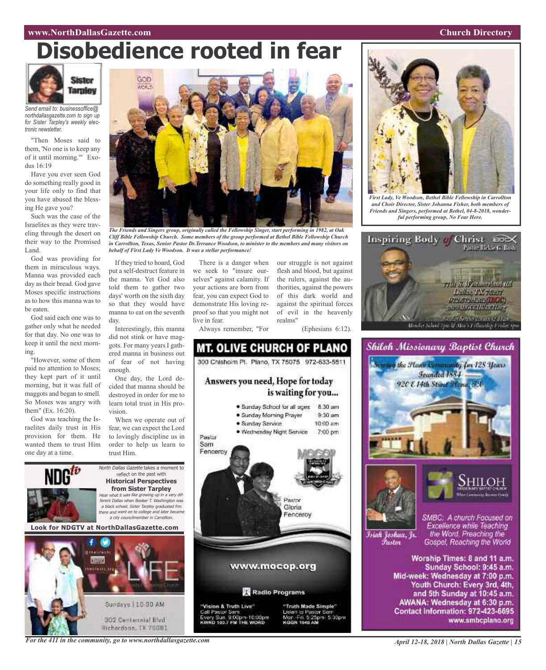#### **www.NorthDallasGazette.com Church Directory**

# **Disobedience rooted in fear**



*Send email to: businessoffice@ northdallasgazette.com to sign up for Sister Tarpley's weekly electronic newsletter.*

"Then Moses said to them, 'No one is to keep any of it until morning.'" Exodus 16:19

Have you ever seen God do something really good in your life only to find that you have abused the blessing He gave you?

Such was the case of the Israelites as they were traveling through the desert on their way to the Promised Land.

God was providing for them in miraculous ways. Manna was provided each day as their bread. God gave Moses specific instructions as to how this manna was to be eaten.

God said each one was to gather only what he needed for that day. No one was to keep it until the next morning.

"However, some of them paid no attention to Moses; they kept part of it until morning, but it was full of maggots and began to smell. So Moses was angry with them" (Ex. 16:20).

God was teaching the Israelites daily trust in His provision for them. He wanted them to trust Him one day at a time.



*The Friends and Singers group, originally called the Fellowship Singer, start performing in 1982, at Oak Cliff Bible Fellowship Church. Some members of the group performed at Bethel Bible Fellowship Church in Carrollton, Texas, Senior Pastor Dr.Terrance Woodson, to minister to the members and many visitors on behalf of First Lady Ve Woodson. It was a stellar performance!*

If they tried to hoard, God put a self-destruct feature in the manna. Yet God also told them to gather two days' worth on the sixth day so that they would have manna to eat on the seventh day.

Interestingly, this manna did not stink or have maggots. For many years I gathered manna in business out of fear of not having enough.

One day, the Lord decided that manna should be destroyed in order for me to learn total trust in His provision.

When we operate out of fear, we can expect the Lord to lovingly discipline us in order to help us learn to trust Him.

North Dallas Gazette takes a moment to reflect on the past with **Historical Perspectives from Sister Tarpley** Hear what it was like growing up in <sup>a</sup> very different Dallas when Booker T. Washington was <sup>a</sup> black school. Sister Tarpley graduated frm there and went on to college and later became <sup>a</sup> city councilmember in Carrollton.

**Look for NDGTV at NorthDallasGazette.com**



There is a danger when we seek to "insure ourselves" against calamity. If your actions are born from fear, you can expect God to demonstrate His loving reproof so that you might not live in fear.

our struggle is not against flesh and blood, but against the rulers, against the authorities, against the powers of this dark world and against the spiritual forces of evil in the heavenly realms"

(Ephesians 6:12).

Always remember, "For

**MT. OLIVE CHURCH OF PLANO** 300 Chishoim Pl. Plano, TX 75075 972-633-5511 Answers you need, Hope for today is waiting for you... . Sunday School for all ages 8:30 am · Sunday Morning Prayer  $9.30$  am · Sunday Service  $10:00$  am · Wednesday Night Service 7:00 pm Pastor Sam Fencercy Pastor Gloria Fenceroy www.mocop.org Radio Programs "Vision & Truth Live" "Truth Made Simple" Call Pastor Sam to Pastor Sa Sun, 9:00pm-10:00pm<br>183.2 EM THE WORD Fri. 5:25pm. 5:30pm



*First Lady, Ve Woodson, Bethel Bible Fellowship in Carrollton and Choir Director, Sister Johanna Fisher, both members of Friends and Singers, performed at Bethel, 04-8-2018, wonderful performing group, No Fear Here.*





Mid-week: Wednesday at 7:00 p.m. Youth Church: Every 3rd, 4th, and 5th Sunday at 10:45 a.m. AWANA: Wednesday at 6:30 p.m. Contact Information: 972-423-6695 www.smbcplano.org

*For the 411 in the community, go to www.northdallasgazette.com*